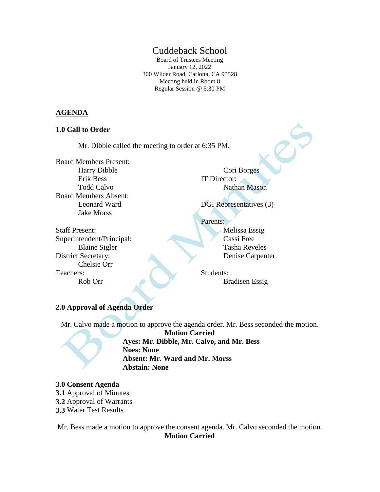# Cuddeback School

Board of Trustees Meeting January 12, 2022 300 Wilder Road, Carlotta, CA 95528 Meeting held in Room 8 Regular Session @ 6:30 PM

### **AGENDA**

#### **1.0 Call to Order**

Mr. Dibble called the meeting to order at 6:35 PM.

Board Members Present: Harry Dibble Erik Bess Todd Calvo Board Members Absent: Leonard Ward Jake Morss

Cori Borges IT Director: Nathan Mason

DGI Representatives (3)

Staff Present: Superintendent/Principal: Blaine Sigler District Secretary: Chelsie Orr Teachers:

Rob Orr

Parents:

Melissa Essig Cassi Free Tasha Reveles Denise Carpenter

Students: Bradisen Essig

## **2.0 Approval of Agenda Order**

Mr. Calvo made a motion to approve the agenda order. Mr. Bess seconded the motion.

**Motion Carried Ayes: Mr. Dibble, Mr. Calvo, and Mr. Bess Noes: None Absent: Mr. Ward and Mr. Morss Abstain: None**

#### **3.0 Consent Agenda**

- **3.1** Approval of Minutes
- **3.2** Approval of Warrants
- **3.3** Water Test Results

Mr. Bess made a motion to approve the consent agenda. Mr. Calvo seconded the motion. **Motion Carried**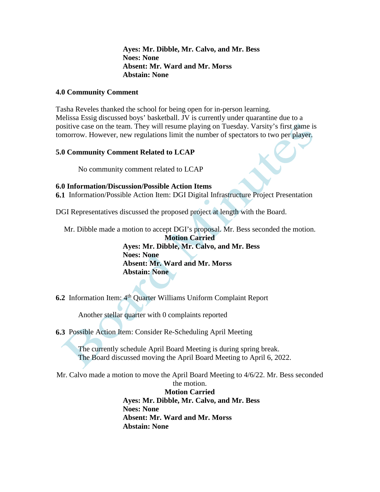**Ayes: Mr. Dibble, Mr. Calvo, and Mr. Bess Noes: None Absent: Mr. Ward and Mr. Morss Abstain: None**

### **4.0 Community Comment**

Tasha Reveles thanked the school for being open for in-person learning. Melissa Essig discussed boys' basketball. JV is currently under quarantine due to a positive case on the team. They will resume playing on Tuesday. Varsity's first game is tomorrow. However, new regulations limit the number of spectators to two per player.

### **5.0 Community Comment Related to LCAP**

No community comment related to LCAP

### **6.0 Information/Discussion/Possible Action Items**

**6.1** Information/Possible Action Item: DGI Digital Infrastructure Project Presentation

DGI Representatives discussed the proposed project at length with the Board.

Mr. Dibble made a motion to accept DGI's proposal. Mr. Bess seconded the motion.

**Motion Carried Ayes: Mr. Dibble, Mr. Calvo, and Mr. Bess Noes: None Absent: Mr. Ward and Mr. Morss Abstain: None**

**6.2** Information Item: 4th Quarter Williams Uniform Complaint Report

Another stellar quarter with 0 complaints reported

**6.3** Possible Action Item: Consider Re-Scheduling April Meeting

The currently schedule April Board Meeting is during spring break. The Board discussed moving the April Board Meeting to April 6, 2022.

Mr. Calvo made a motion to move the April Board Meeting to 4/6/22. Mr. Bess seconded the motion.

> **Motion Carried Ayes: Mr. Dibble, Mr. Calvo, and Mr. Bess Noes: None Absent: Mr. Ward and Mr. Morss Abstain: None**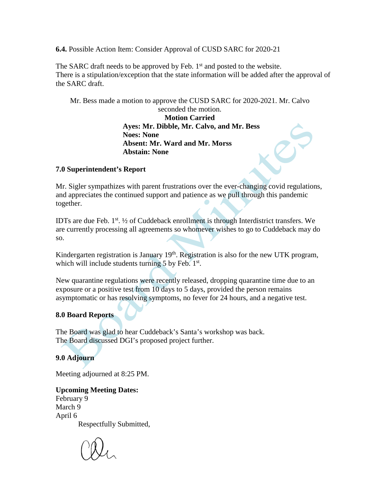**6.4.** Possible Action Item: Consider Approval of CUSD SARC for 2020-21

The SARC draft needs to be approved by Feb.  $1<sup>st</sup>$  and posted to the website. There is a stipulation/exception that the state information will be added after the approval of the SARC draft.

Mr. Bess made a motion to approve the CUSD SARC for 2020-2021. Mr. Calvo seconded the motion. **Motion Carried Ayes: Mr. Dibble, Mr. Calvo, and Mr. Bess Noes: None Absent: Mr. Ward and Mr. Morss Abstain: None**

## **7.0 Superintendent's Report**

Mr. Sigler sympathizes with parent frustrations over the ever-changing covid regulations, and appreciates the continued support and patience as we pull through this pandemic together.

IDTs are due Feb.  $1^{st}$ .  $\frac{1}{2}$  of Cuddeback enrollment is through Interdistrict transfers. We are currently processing all agreements so whomever wishes to go to Cuddeback may do so.

Kindergarten registration is January 19<sup>th</sup>. Registration is also for the new UTK program, which will include students turning 5 by Feb. 1<sup>st</sup>.

New quarantine regulations were recently released, dropping quarantine time due to an exposure or a positive test from 10 days to 5 days, provided the person remains asymptomatic or has resolving symptoms, no fever for 24 hours, and a negative test.

## **8.0 Board Reports**

The Board was glad to hear Cuddeback's Santa's workshop was back. The Board discussed DGI's proposed project further.

### **9.0 Adjourn**

Meeting adjourned at 8:25 PM.

# **Upcoming Meeting Dates:**

February 9 March 9 April 6

Respectfully Submitted,